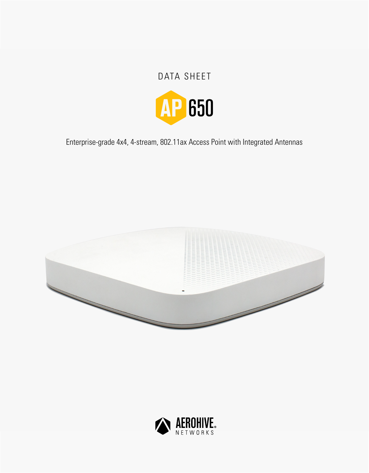# DATA SHEET



Enterprise-grade 4x4, 4-stream, 802.11ax Access Point with Integrated Antennas



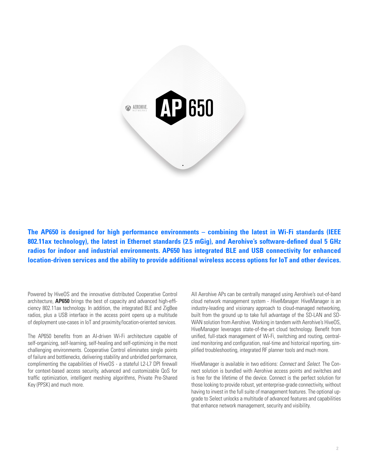

**The AP650 is designed for high performance environments – combining the latest in Wi-Fi standards (IEEE 802.11ax technology), the latest in Ethernet standards (2.5 mGig), and Aerohive's software-defined dual 5 GHz radios for indoor and industrial environments. AP650 has integrated BLE and USB connectivity for enhanced location-driven services and the ability to provide additional wireless access options for IoT and other devices.**

Powered by HiveOS and the innovative distributed Cooperative Control architecture, **AP650** brings the best of capacity and advanced high-efficiency 802.11ax technology. In addition, the integrated BLE and ZigBee radios, plus a USB interface in the access point opens up a multitude of deployment use-cases in IoT and proximity/location-oriented services.

The AP650 benefits from an AI-driven Wi-Fi architecture capable of self-organizing, self-learning, self-healing and self-optimizing in the most challenging environments. Cooperative Control eliminates single points of failure and bottlenecks, delivering stability and unbridled performance, complimenting the capabilities of HiveOS - a stateful L2-L7 DPI firewall for context-based access security, advanced and customizable QoS for traffic optimization, intelligent meshing algorithms, Private Pre-Shared Key (PPSK) and much more.

All Aerohive APs can be centrally managed using Aerohive's out-of-band cloud network management system - *HiveManager*. HiveManager is an industry-leading and visionary approach to cloud-managed networking, built from the ground up to take full advantage of the SD-LAN and SD-WAN solution from Aerohive. Working in tandem with Aerohive's HiveOS, HiveManager leverages state-of-the-art cloud technology. Benefit from unified, full-stack management of Wi-Fi, switching and routing, centralized monitoring and configuration, real-time and historical reporting, simplified troubleshooting, integrated RF planner tools and much more.

HiveManager is available in two editions: *Connect* and *Select*. The Connect solution is bundled with Aerohive access points and switches and is free for the lifetime of the device. Connect is the perfect solution for those looking to provide robust, yet enterprise-grade connectivity, without having to invest in the full suite of management features. The optional upgrade to Select unlocks a multitude of advanced features and capabilities that enhance network management, security and visibility.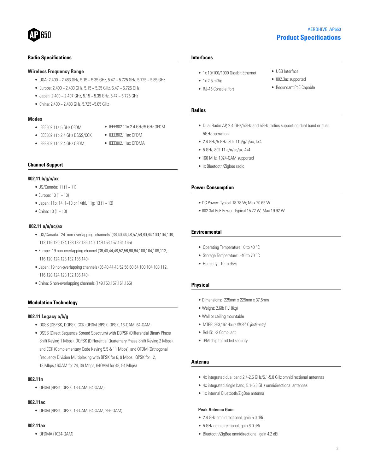# **Product Specifications** AEROHIVE AP650

• USB Interface • 802.3az supported • Redundant PoE Capable

#### **Radio Specifications**

#### **Wireless Frequency Range**

- USA: 2.400 ~ 2.483 GHz, 5.15 ~ 5.35 GHz, 5.47 ~ 5.725 GHz, 5.725 ~ 5.85 GHz
- Europe: 2.400 ~ 2.483 GHz, 5.15 ~ 5.35 GHz, 5.47 ~ 5.725 GHz
- Japan: 2.400 ~ 2.497 GHz, 5.15 ~ 5.35 GHz, 5.47 ~ 5.725 GHz
- China:  $2.400 \approx 2.483$  GHz,  $5.725 \approx 5.85$  GHz

#### **Modes**

• IEEE802.11a 5 GHz OFDM

• IEEE802.11g 2.4 GHz OFDM

- IEEE802.11b 2.4 GHz DSSS/CCK
	- IEEE802.11ax OFDMA

• IEEE802.11ac OFDM

• IEEE802.11n 2.4 GHz/5 GHz OFDM

#### **Channel Support**

#### **802.11 b/g/n/ax**

- US/Canada: 11 (1 ~ 11)
- Europe: 13 (1 ~ 13)
- Japan: 11b: 14 (1~13 or 14th), 11g: 13 (1 ~ 13)
- China: 13 (1  $\sim$  13)

#### **802.11 a/n/ac/ax**

- US/Canada: 24 non-overlapping channels (36,40,44,48,52,56,60,64;100,104,108, 112,116,120,124,128,132,136,140; 149,153,157,161,165)
- Europe: 19 non-overlapping channel (36,40,44,48,52,56,60,64;100,104,108,112, 116,120,124,128,132,136,140)
- Japan: 19 non-overlapping channels (36,40,44,48,52,56,60,64;100,104,108,112, 116,120,124,128,132,136,140)
- China: 5 non-overlapping channels (149,153,157,161,165)

#### **Modulation Technology**

#### **802.11 Legacy a/b/g**

- DSSS (DBPSK, DQPSK, CCK) OFDM (BPSK, QPSK, 16-QAM, 64-QAM)
- DSSS (Direct Sequence Spread Spectrum) with DBPSK (Differential Binary Phase Shift Keying 1 Mbps), DQPSK (Differential Quaternary Phase Shift Keying 2 Mbps), and CCK (Complementary Code Keying 5.5 & 11 Mbps), and OFDM (Orthogonal Frequency Division Multiplexing with BPSK for 6, 9 Mbps. QPSK for 12, 18 Mbps,16QAM for 24, 36 Mbps, 64QAM for 48, 54 Mbps)

#### **802.11n**

• OFDM (BPSK, QPSK, 16-QAM, 64-QAM)

#### **802.11ac**

• OFDM (BPSK, QPSK, 16-QAM, 64-QAM, 256-QAM)

#### **802.11ax**

• OFDMA (1024-QAM)

#### **Interfaces**

**Radios**

- 1x 10/100/1000 Gigabit Ethernet
- 1x 2.5 mGig
- RJ-45 Console Port

- Dual Radio AP, 2.4 GHz/5GHz and 5GHz radios supporting dual band or dual 5GHz operation
- 2.4 GHz/5 GHz, 802.11b/g/n/ax, 4x4
- 5 GHz, 802.11 a/n/ac/ax, 4x4
- 160 MHz, 1024-QAM supported
- 1x Bluetooth/Zigbee radio

#### **Power Consumption**

- DC Power: Typical 18.78 W; Max 20.65 W
- 802.3at PoE Power: Typical 15.72 W; Max 19.92 W

#### **Environmental**

- Operating Temperature: 0 to 40 °C
- Storage Temperature: -40 to 70 °C
- Humidity: 10 to 95%

#### **Physical**

- Dimensions: 225mm x 225mm x 37.5mm
- Weight: 2.6lb (1.18kg)
- Wall or ceiling mountable
- MTBF: 363,162 Hours @ 25º C *(estimate)*
- RoHS: -2 Compliant
- TPM chip for added security

#### **Antenna**

- 4x integrated dual band 2.4-2.5 GHz/5.1-5.8 GHz omnidirectional antennas
- 4x integrated single band, 5.1-5.8 GHz omnidirectional antennas
- 1x internal Bluetooth/ZigBee antenna

#### **Peak Antenna Gain:**

- 2.4 GHz omnidirectional, gain 5.0 dBi
- 5 GHz omnidirectional, gain 6.0 dBi
- Bluetooth/ZigBee omnidirectional, gain 4.2 dBi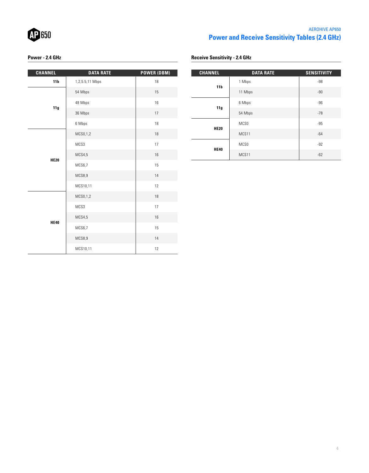

# AEROHIVE AP650 **Power and Receive Sensitivity Tables (2.4 GHz)**

# **Power - 2.4 GHz**

| <b>CHANNEL</b>  | <b>DATA RATE</b> | <b>POWER (DBM)</b> |
|-----------------|------------------|--------------------|
| 11 <sub>b</sub> | 1,2,5.5,11 Mbps  | 18                 |
|                 | 54 Mbps          | 15                 |
|                 | 48 Mbps          | 16                 |
| 11g             | 36 Mbps          | 17                 |
|                 | 6 Mbps           | 18                 |
|                 | MCS0,1,2         | 18                 |
| <b>HE20</b>     | MCS3             | 17                 |
|                 | MCS4,5           | 16                 |
|                 | MCS6,7           | 15                 |
|                 | MCS8,9           | 14                 |
|                 | MCS10,11         | 12                 |
|                 | MCS0,1,2         | 18                 |
|                 | MCS3             | 17                 |
| <b>HE40</b>     | MCS4,5           | 16                 |
|                 | MCS6,7           | 15                 |
|                 | MCS8,9           | 14                 |
|                 | MCS10,11         | 12                 |

| <b>Receive Sensitivity - 2.4 GHz</b> |  |
|--------------------------------------|--|
|--------------------------------------|--|

| <b>CHANNEL</b>  | <b>DATA RATE</b> | <b>SENSITIVITY</b> |
|-----------------|------------------|--------------------|
| 11 <sub>b</sub> | 1 Mbps           | $-98$              |
|                 | 11 Mbps          | $-90$              |
| 11g             | 6 Mbps           | $-96$              |
|                 | 54 Mbps          | $-78$              |
| <b>HE20</b>     | MCS0             | $-95$              |
|                 | MCS11            | $-64$              |
| <b>HE40</b>     | MCS <sub>0</sub> | $-92$              |
|                 | MCS11            | $-62$              |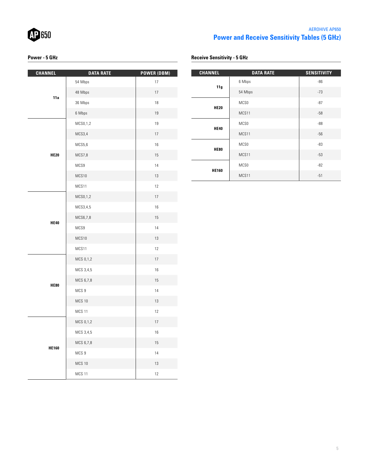

# AEROHIVE AP650 **Power and Receive Sensitivity Tables (5 GHz)**

## **Power - 5 GHz**

### **Receive Sensitivity - 5 GHz**

| <b>CHANNEL</b> | <b>DATA RATE</b> | <b>POWER (DBM)</b> |
|----------------|------------------|--------------------|
| 11a            | 54 Mbps          | 17                 |
|                | 48 Mbps          | 17                 |
|                | 36 Mbps          | 18                 |
|                | 6 Mbps           | 19                 |
|                | MCS0,1,2         | 19                 |
|                | MCS3,4           | 17                 |
|                | MCS5,6           | 16                 |
| <b>HE20</b>    | MCS7,8           | 15                 |
|                | MCS9             | 14                 |
|                | MCS10            | 13                 |
|                | MCS11            | 12                 |
|                | MCS0,1,2         | 17                 |
|                | MCS3,4,5         | 16                 |
|                | MCS6,7,8         | 15                 |
| <b>HE40</b>    | MCS9             | 14                 |
|                | MCS10            | 13                 |
|                | MCS11            | $12\,$             |
|                | MCS 0,1,2        | 17                 |
|                | MCS 3,4,5        | 16                 |
| <b>HE80</b>    | MCS 6,7,8        | 15                 |
|                | MCS 9            | 14                 |
|                | <b>MCS 10</b>    | 13                 |
|                | <b>MCS 11</b>    | $12\,$             |
|                | MCS 0,1,2        | $17\,$             |
|                | MCS 3,4,5        | 16                 |
|                | MCS 6,7,8        | 15                 |
| <b>HE160</b>   | MCS 9            | 14                 |
|                | <b>MCS 10</b>    | 13                 |
|                | <b>MCS 11</b>    | 12                 |

| <b>CHANNEL</b> | <b>DATA RATE</b> | <b>SENSITIVITY</b> |
|----------------|------------------|--------------------|
|                | 6 Mbps           | $-86$              |
| 11g            | 54 Mbps          | $-73$              |
| <b>HE20</b>    | MCS0             | $-87$              |
|                | MCS11            | $-58$              |
| <b>HE40</b>    | MCS0             | $-88$              |
|                | MCS11            | $-56$              |
| <b>HE80</b>    | MCS0             | $-83$              |
|                | MCS11            | $-53$              |
| <b>HE160</b>   | MCS0             | $-82$              |
|                | MCS11            | $-51$              |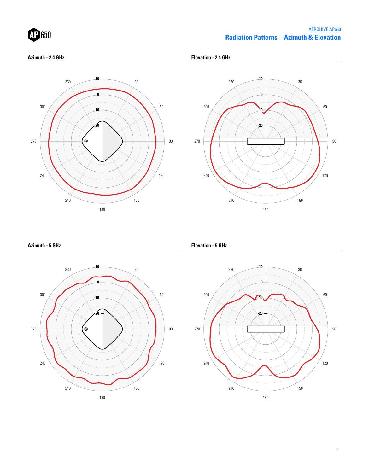

# **Radiation Patterns – Azimuth & Elevation** AEROHIVE AP650

#### **Azimuth - 2.4 GHz**

**Elevation - 2.4 GHz**





**Azimuth - 5 GHz**



**Elevation - 5 GHz**